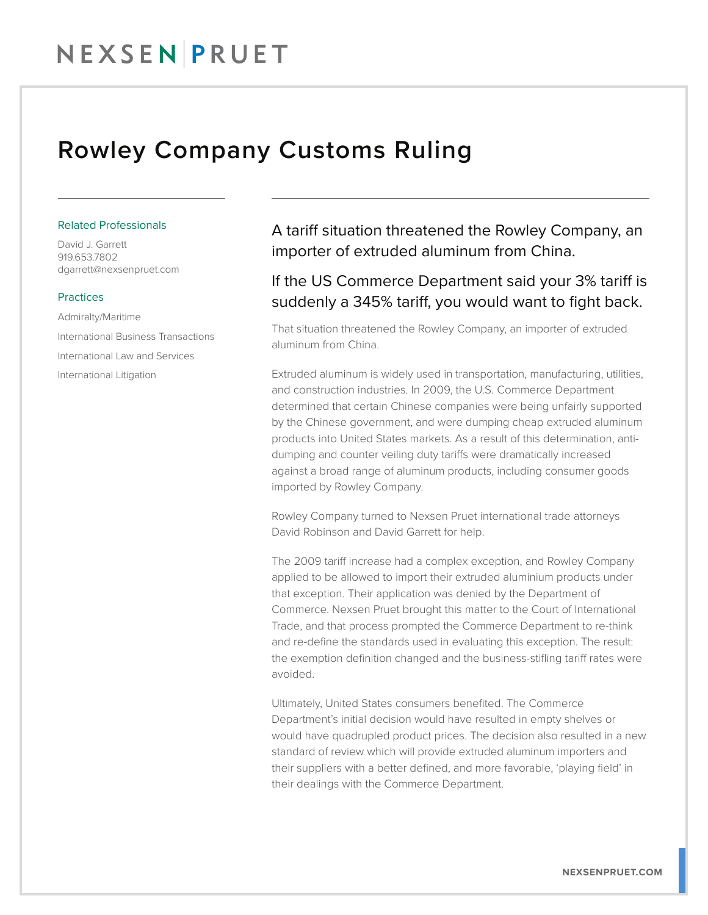## Rowley Company Customs Ruling

#### Related Professionals

David J. Garrett 919.653.7802 dgarrett@nexsenpruet.com

#### **Practices**

Admiralty/Maritime International Business Transactions International Law and Services International Litigation

A tariff situation threatened the Rowley Company, an importer of extruded aluminum from China.

### If the US Commerce Department said your 3% tariff is suddenly a 345% tariff, you would want to fight back.

That situation threatened the Rowley Company, an importer of extruded aluminum from China.

Extruded aluminum is widely used in transportation, manufacturing, utilities, and construction industries. In 2009, the U.S. Commerce Department determined that certain Chinese companies were being unfairly supported by the Chinese government, and were dumping cheap extruded aluminum products into United States markets. As a result of this determination, antidumping and counter veiling duty tariffs were dramatically increased against a broad range of aluminum products, including consumer goods imported by Rowley Company.

Rowley Company turned to Nexsen Pruet international trade attorneys David Robinson and David Garrett for help.

The 2009 tariff increase had a complex exception, and Rowley Company applied to be allowed to import their extruded aluminium products under that exception. Their application was denied by the Department of Commerce. Nexsen Pruet brought this matter to the Court of International Trade, and that process prompted the Commerce Department to re-think and re-define the standards used in evaluating this exception. The result: the exemption definition changed and the business-stifling tariff rates were avoided.

Ultimately, United States consumers benefited. The Commerce Department's initial decision would have resulted in empty shelves or would have quadrupled product prices. The decision also resulted in a new standard of review which will provide extruded aluminum importers and their suppliers with a better defined, and more favorable, 'playing field' in their dealings with the Commerce Department.